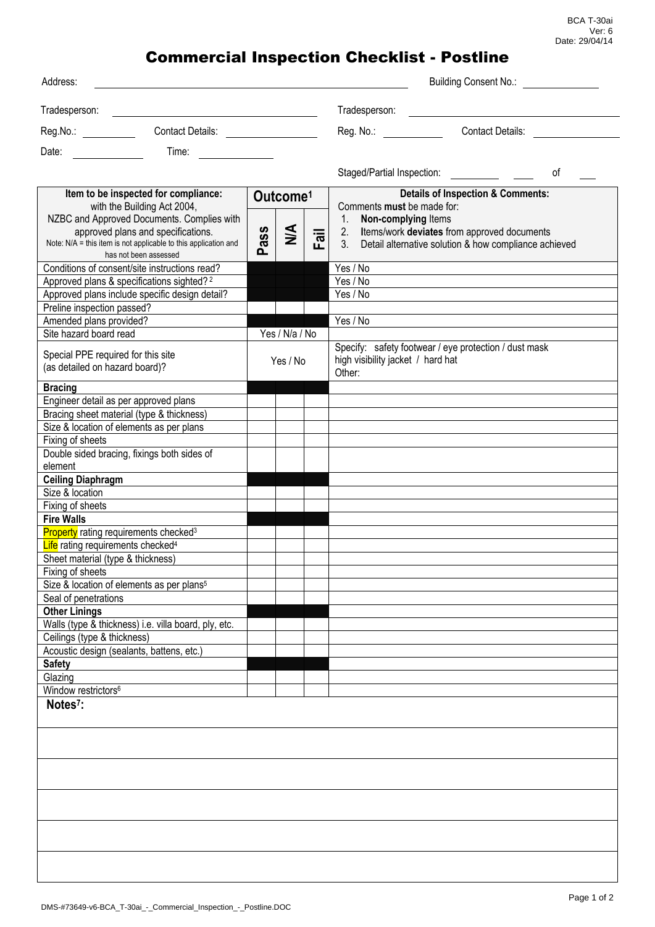## Commercial Inspection Checklist - Postline

| Address:                                                                                                                       |                      |                |                                |                                                                                                            | Building Consent No.:                                 |    |  |
|--------------------------------------------------------------------------------------------------------------------------------|----------------------|----------------|--------------------------------|------------------------------------------------------------------------------------------------------------|-------------------------------------------------------|----|--|
|                                                                                                                                |                      |                |                                | Tradesperson:                                                                                              |                                                       |    |  |
|                                                                                                                                |                      |                |                                | Reg. No.: Contact Details:                                                                                 |                                                       |    |  |
| Time:<br>Date:                                                                                                                 |                      |                |                                |                                                                                                            |                                                       |    |  |
|                                                                                                                                |                      |                |                                |                                                                                                            |                                                       | 0f |  |
| Item to be inspected for compliance:<br>with the Building Act 2004,                                                            | Outcome <sup>1</sup> |                |                                | <b>Details of Inspection &amp; Comments:</b><br>Comments must be made for:                                 |                                                       |    |  |
| NZBC and Approved Documents. Complies with                                                                                     |                      |                |                                | 1. Non-complying Items                                                                                     |                                                       |    |  |
| approved plans and specifications.<br>Note: N/A = this item is not applicable to this application and<br>has not been assessed | Pass                 | $\leq$         | $\overline{\overline{a}}$<br>ட | 2. Items/work deviates from approved documents<br>3. Detail alternative solution & how compliance achieved |                                                       |    |  |
| Conditions of consent/site instructions read?                                                                                  |                      |                |                                | Yes / No                                                                                                   |                                                       |    |  |
| Approved plans & specifications sighted? <sup>2</sup>                                                                          |                      |                |                                | Yes / No                                                                                                   |                                                       |    |  |
| Approved plans include specific design detail?                                                                                 |                      |                |                                | Yes / No                                                                                                   |                                                       |    |  |
| Preline inspection passed?                                                                                                     |                      |                |                                | Yes / No                                                                                                   |                                                       |    |  |
| Amended plans provided?<br>Site hazard board read                                                                              |                      | Yes / N/a / No |                                |                                                                                                            |                                                       |    |  |
| Special PPE required for this site<br>(as detailed on hazard board)?                                                           | Yes / No             |                |                                | high visibility jacket / hard hat<br>Other:                                                                | Specify: safety footwear / eye protection / dust mask |    |  |
| <b>Bracing</b>                                                                                                                 |                      |                |                                |                                                                                                            |                                                       |    |  |
| Engineer detail as per approved plans                                                                                          |                      |                |                                |                                                                                                            |                                                       |    |  |
| Bracing sheet material (type & thickness)                                                                                      |                      |                |                                |                                                                                                            |                                                       |    |  |
| Size & location of elements as per plans<br>Fixing of sheets                                                                   |                      |                |                                |                                                                                                            |                                                       |    |  |
| Double sided bracing, fixings both sides of                                                                                    |                      |                |                                |                                                                                                            |                                                       |    |  |
| element                                                                                                                        |                      |                |                                |                                                                                                            |                                                       |    |  |
| <b>Ceiling Diaphragm</b>                                                                                                       |                      |                |                                |                                                                                                            |                                                       |    |  |
| Size & location                                                                                                                |                      |                |                                |                                                                                                            |                                                       |    |  |
| Fixing of sheets<br><b>Fire Walls</b>                                                                                          |                      |                |                                |                                                                                                            |                                                       |    |  |
| <b>Property</b> rating requirements checked <sup>3</sup>                                                                       |                      |                |                                |                                                                                                            |                                                       |    |  |
| Life rating requirements checked <sup>4</sup>                                                                                  |                      |                |                                |                                                                                                            |                                                       |    |  |
| Sheet material (type & thickness)                                                                                              |                      |                |                                |                                                                                                            |                                                       |    |  |
| Fixing of sheets                                                                                                               |                      |                |                                |                                                                                                            |                                                       |    |  |
| Size & location of elements as per plans <sup>5</sup>                                                                          |                      |                |                                |                                                                                                            |                                                       |    |  |
| Seal of penetrations                                                                                                           |                      |                |                                |                                                                                                            |                                                       |    |  |
| <b>Other Linings</b>                                                                                                           |                      |                |                                |                                                                                                            |                                                       |    |  |
| Walls (type & thickness) i.e. villa board, ply, etc.                                                                           |                      |                |                                |                                                                                                            |                                                       |    |  |
| Ceilings (type & thickness)<br>Acoustic design (sealants, battens, etc.)                                                       |                      |                |                                |                                                                                                            |                                                       |    |  |
| <b>Safety</b>                                                                                                                  |                      |                |                                |                                                                                                            |                                                       |    |  |
| Glazing                                                                                                                        |                      |                |                                |                                                                                                            |                                                       |    |  |
| Window restrictors <sup>6</sup>                                                                                                |                      |                |                                |                                                                                                            |                                                       |    |  |
| Notes <sup>7</sup> :                                                                                                           |                      |                |                                |                                                                                                            |                                                       |    |  |
|                                                                                                                                |                      |                |                                |                                                                                                            |                                                       |    |  |
|                                                                                                                                |                      |                |                                |                                                                                                            |                                                       |    |  |
|                                                                                                                                |                      |                |                                |                                                                                                            |                                                       |    |  |
|                                                                                                                                |                      |                |                                |                                                                                                            |                                                       |    |  |
|                                                                                                                                |                      |                |                                |                                                                                                            |                                                       |    |  |
|                                                                                                                                |                      |                |                                |                                                                                                            |                                                       |    |  |
|                                                                                                                                |                      |                |                                |                                                                                                            |                                                       |    |  |